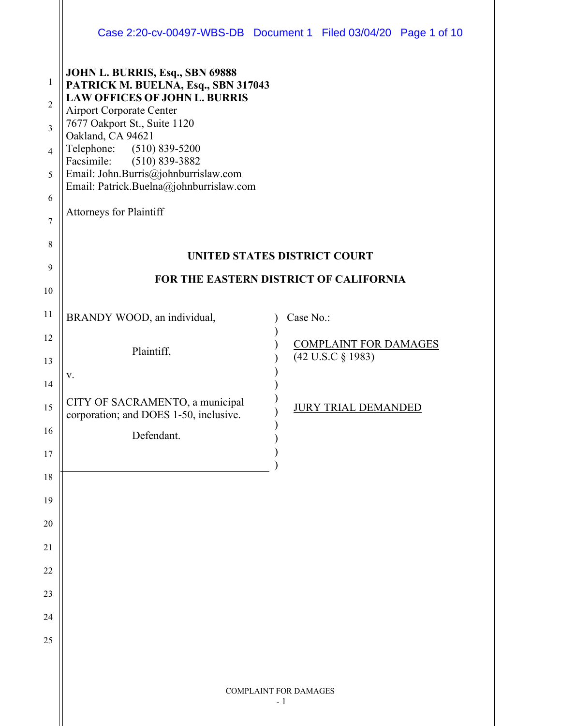|                |                                                                                 | Case 2:20-cv-00497-WBS-DB Document 1 Filed 03/04/20 Page 1 of 10 |  |  |
|----------------|---------------------------------------------------------------------------------|------------------------------------------------------------------|--|--|
| $\mathbf{1}$   | JOHN L. BURRIS, Esq., SBN 69888<br>PATRICK M. BUELNA, Esq., SBN 317043          |                                                                  |  |  |
| $\overline{2}$ | <b>LAW OFFICES OF JOHN L. BURRIS</b><br><b>Airport Corporate Center</b>         |                                                                  |  |  |
| $\overline{3}$ | 7677 Oakport St., Suite 1120<br>Oakland, CA 94621                               |                                                                  |  |  |
| $\overline{4}$ | Telephone: (510) 839-5200<br>Facsimile:<br>$(510) 839 - 3882$                   |                                                                  |  |  |
| 5              | Email: John.Burris@johnburrislaw.com<br>Email: Patrick.Buelna@johnburrislaw.com |                                                                  |  |  |
| 6              | <b>Attorneys for Plaintiff</b>                                                  |                                                                  |  |  |
| 7              |                                                                                 |                                                                  |  |  |
| 8              |                                                                                 | UNITED STATES DISTRICT COURT                                     |  |  |
| 9              | FOR THE EASTERN DISTRICT OF CALIFORNIA                                          |                                                                  |  |  |
| 10             |                                                                                 |                                                                  |  |  |
| 11             | BRANDY WOOD, an individual,                                                     | Case No.:                                                        |  |  |
| 12             | Plaintiff,                                                                      | <b>COMPLAINT FOR DAMAGES</b>                                     |  |  |
| 13             | V.                                                                              | (42 U.S.C § 1983)                                                |  |  |
| 14             | CITY OF SACRAMENTO, a municipal                                                 |                                                                  |  |  |
| 15             | corporation; and DOES 1-50, inclusive.                                          | <b>JURY TRIAL DEMANDED</b>                                       |  |  |
| 16             | Defendant.                                                                      |                                                                  |  |  |
| 17             |                                                                                 |                                                                  |  |  |
| 18             |                                                                                 |                                                                  |  |  |
| 19             |                                                                                 |                                                                  |  |  |
| 20             |                                                                                 |                                                                  |  |  |
| 21<br>22       |                                                                                 |                                                                  |  |  |
| 23             |                                                                                 |                                                                  |  |  |
| 24             |                                                                                 |                                                                  |  |  |
| 25             |                                                                                 |                                                                  |  |  |
|                |                                                                                 |                                                                  |  |  |
|                |                                                                                 |                                                                  |  |  |
|                |                                                                                 | <b>COMPLAINT FOR DAMAGES</b><br>$-1$                             |  |  |
|                |                                                                                 |                                                                  |  |  |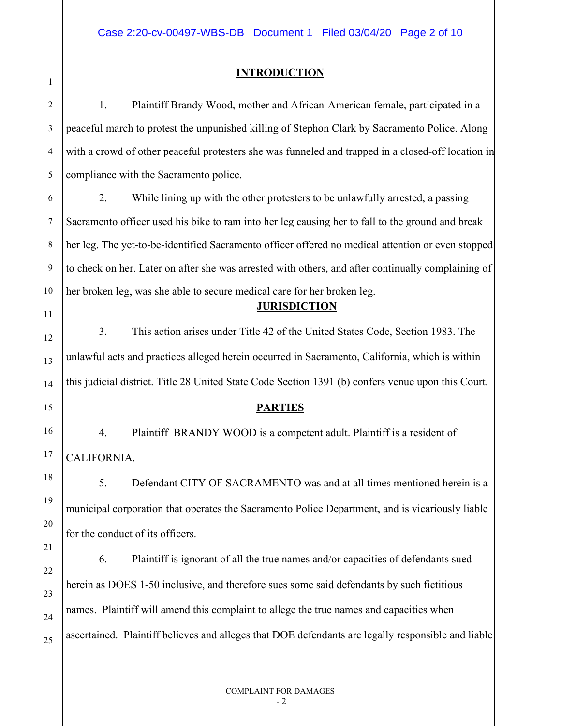#### **INTRODUCTION**

1

2 3 4 5 6 7 8 9 10 11 12 13 14 15 16 17 18 19 20 21 22 23 24 25 1. Plaintiff Brandy Wood, mother and African-American female, participated in a peaceful march to protest the unpunished killing of Stephon Clark by Sacramento Police. Along with a crowd of other peaceful protesters she was funneled and trapped in a closed-off location in compliance with the Sacramento police. 2. While lining up with the other protesters to be unlawfully arrested, a passing Sacramento officer used his bike to ram into her leg causing her to fall to the ground and break her leg. The yet-to-be-identified Sacramento officer offered no medical attention or even stopped to check on her. Later on after she was arrested with others, and after continually complaining of her broken leg, was she able to secure medical care for her broken leg. **JURISDICTION** 3. This action arises under Title 42 of the United States Code, Section 1983. The unlawful acts and practices alleged herein occurred in Sacramento, California, which is within this judicial district. Title 28 United State Code Section 1391 (b) confers venue upon this Court. **PARTIES** 4. Plaintiff BRANDY WOOD is a competent adult. Plaintiff is a resident of CALIFORNIA. 5. Defendant CITY OF SACRAMENTO was and at all times mentioned herein is a municipal corporation that operates the Sacramento Police Department, and is vicariously liable for the conduct of its officers. 6. Plaintiff is ignorant of all the true names and/or capacities of defendants sued herein as DOES 1-50 inclusive, and therefore sues some said defendants by such fictitious names. Plaintiff will amend this complaint to allege the true names and capacities when ascertained. Plaintiff believes and alleges that DOE defendants are legally responsible and liable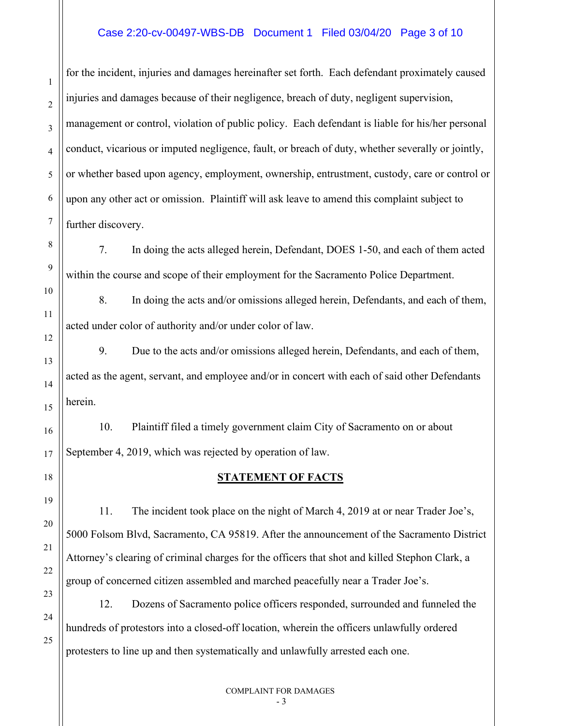#### Case 2:20-cv-00497-WBS-DB Document 1 Filed 03/04/20 Page 3 of 10

for the incident, injuries and damages hereinafter set forth. Each defendant proximately caused injuries and damages because of their negligence, breach of duty, negligent supervision, management or control, violation of public policy. Each defendant is liable for his/her personal conduct, vicarious or imputed negligence, fault, or breach of duty, whether severally or jointly, or whether based upon agency, employment, ownership, entrustment, custody, care or control or upon any other act or omission. Plaintiff will ask leave to amend this complaint subject to further discovery.

1

 $\overline{2}$ 

3

4

5

6

7

8

9

10

11

12

13

14

15

16

17

18

19

20

21

22

23

24

25

7. In doing the acts alleged herein, Defendant, DOES 1-50, and each of them acted within the course and scope of their employment for the Sacramento Police Department.

8. In doing the acts and/or omissions alleged herein, Defendants, and each of them, acted under color of authority and/or under color of law.

9. Due to the acts and/or omissions alleged herein, Defendants, and each of them, acted as the agent, servant, and employee and/or in concert with each of said other Defendants herein.

10. Plaintiff filed a timely government claim City of Sacramento on or about September 4, 2019, which was rejected by operation of law.

#### **STATEMENT OF FACTS**

11. The incident took place on the night of March 4, 2019 at or near Trader Joe's, 5000 Folsom Blvd, Sacramento, CA 95819. After the announcement of the Sacramento District Attorney's clearing of criminal charges for the officers that shot and killed Stephon Clark, a group of concerned citizen assembled and marched peacefully near a Trader Joe's.

12. Dozens of Sacramento police officers responded, surrounded and funneled the hundreds of protestors into a closed-off location, wherein the officers unlawfully ordered protesters to line up and then systematically and unlawfully arrested each one.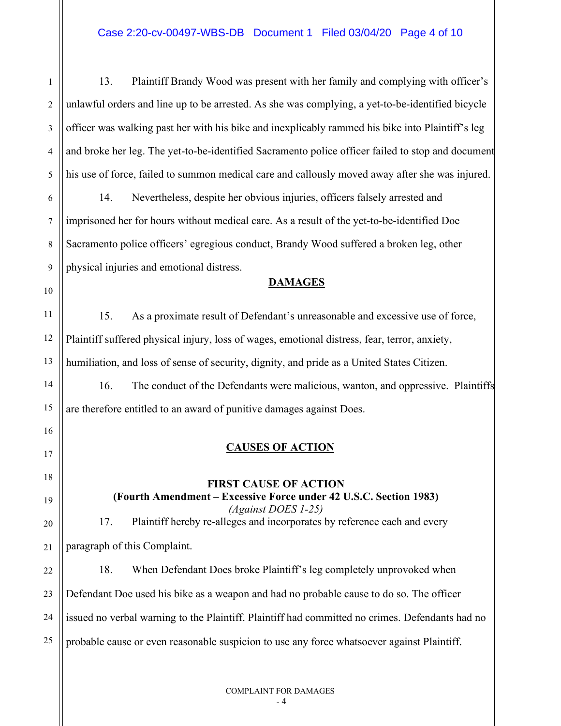1 2 3 4 5 6 7 8 9 10 11 12 13 14 15 16 17 18 19 20 21 22 23 24 25 13. Plaintiff Brandy Wood was present with her family and complying with officer's unlawful orders and line up to be arrested. As she was complying, a yet-to-be-identified bicycle officer was walking past her with his bike and inexplicably rammed his bike into Plaintiff's leg and broke her leg. The yet-to-be-identified Sacramento police officer failed to stop and document his use of force, failed to summon medical care and callously moved away after she was injured. 14. Nevertheless, despite her obvious injuries, officers falsely arrested and imprisoned her for hours without medical care. As a result of the yet-to-be-identified Doe Sacramento police officers' egregious conduct, Brandy Wood suffered a broken leg, other physical injuries and emotional distress. **DAMAGES** 15. As a proximate result of Defendant's unreasonable and excessive use of force, Plaintiff suffered physical injury, loss of wages, emotional distress, fear, terror, anxiety, humiliation, and loss of sense of security, dignity, and pride as a United States Citizen. 16. The conduct of the Defendants were malicious, wanton, and oppressive. Plaintiffs are therefore entitled to an award of punitive damages against Does. **CAUSES OF ACTION FIRST CAUSE OF ACTION (Fourth Amendment – Excessive Force under 42 U.S.C. Section 1983)** *(Against DOES 1-25)* 17. Plaintiff hereby re-alleges and incorporates by reference each and every paragraph of this Complaint. 18. When Defendant Does broke Plaintiff's leg completely unprovoked when Defendant Doe used his bike as a weapon and had no probable cause to do so. The officer issued no verbal warning to the Plaintiff. Plaintiff had committed no crimes. Defendants had no probable cause or even reasonable suspicion to use any force whatsoever against Plaintiff.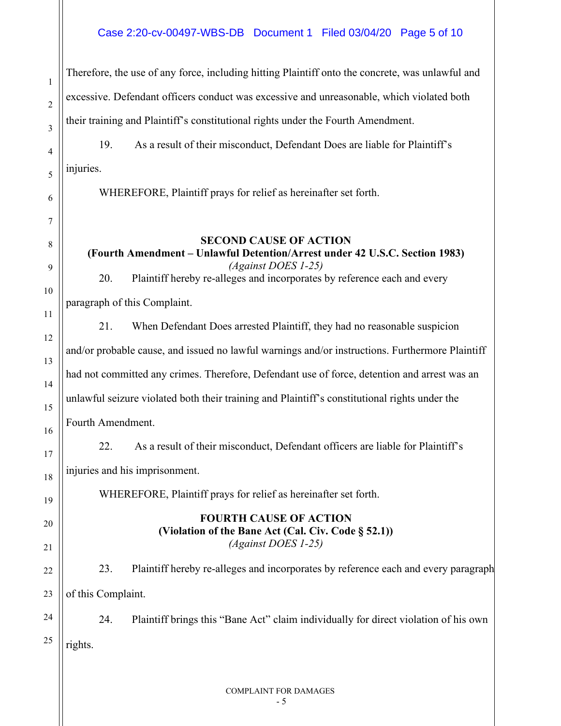### Case 2:20-cv-00497-WBS-DB Document 1 Filed 03/04/20 Page 5 of 10

Therefore, the use of any force, including hitting Plaintiff onto the concrete, was unlawful and excessive. Defendant officers conduct was excessive and unreasonable, which violated both their training and Plaintiff's constitutional rights under the Fourth Amendment.

19. As a result of their misconduct, Defendant Does are liable for Plaintiff's injuries.

WHEREFORE, Plaintiff prays for relief as hereinafter set forth.

## **SECOND CAUSE OF ACTION**

**(Fourth Amendment – Unlawful Detention/Arrest under 42 U.S.C. Section 1983)** *(Against DOES 1-25)*

20. Plaintiff hereby re-alleges and incorporates by reference each and every

paragraph of this Complaint.

1

 $\overline{2}$ 

3

4

5

6

7

8

9

10

11

12

13

14

15

16

17

18

19

20

21

22

23

24

25

21. When Defendant Does arrested Plaintiff, they had no reasonable suspicion and/or probable cause, and issued no lawful warnings and/or instructions. Furthermore Plaintiff had not committed any crimes. Therefore, Defendant use of force, detention and arrest was an unlawful seizure violated both their training and Plaintiff's constitutional rights under the Fourth Amendment. 22. As a result of their misconduct, Defendant officers are liable for Plaintiff's

injuries and his imprisonment.

WHEREFORE, Plaintiff prays for relief as hereinafter set forth.

## **FOURTH CAUSE OF ACTION (Violation of the Bane Act (Cal. Civ. Code § 52.1))** *(Against DOES 1-25)*

23. Plaintiff hereby re-alleges and incorporates by reference each and every paragraph of this Complaint.

24. Plaintiff brings this "Bane Act" claim individually for direct violation of his own rights.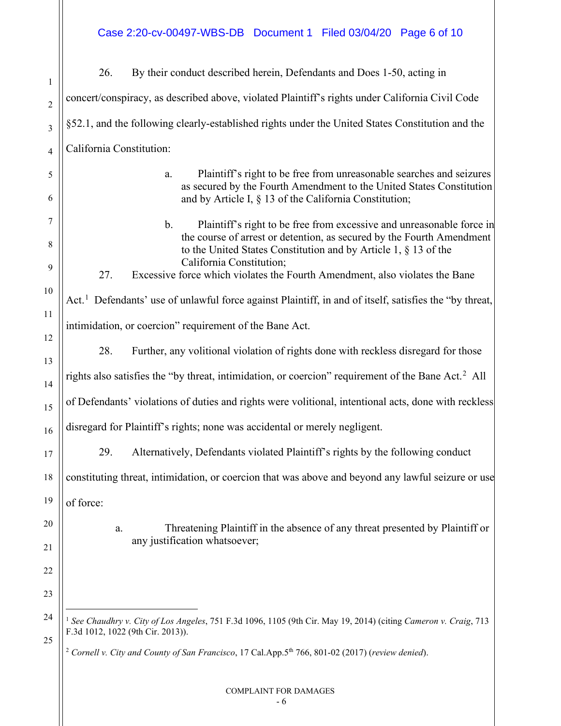Case 2:20-cv-00497-WBS-DB Document 1 Filed 03/04/20 Page 6 of 10

<span id="page-5-1"></span><span id="page-5-0"></span>

| $\mathbf{1}$   | By their conduct described herein, Defendants and Does 1-50, acting in<br>26.                                                                                                                                                                                      |  |  |
|----------------|--------------------------------------------------------------------------------------------------------------------------------------------------------------------------------------------------------------------------------------------------------------------|--|--|
| $\overline{c}$ | concert/conspiracy, as described above, violated Plaintiff's rights under California Civil Code                                                                                                                                                                    |  |  |
| 3              | §52.1, and the following clearly-established rights under the United States Constitution and the                                                                                                                                                                   |  |  |
| $\overline{4}$ | California Constitution:                                                                                                                                                                                                                                           |  |  |
| 5<br>6         | Plaintiff's right to be free from unreasonable searches and seizures<br>a.<br>as secured by the Fourth Amendment to the United States Constitution<br>and by Article I, $\S$ 13 of the California Constitution;                                                    |  |  |
| 7<br>8         | Plaintiff's right to be free from excessive and unreasonable force in<br>$\mathbf{b}$ .<br>the course of arrest or detention, as secured by the Fourth Amendment<br>to the United States Constitution and by Article 1, $\S$ 13 of the<br>California Constitution; |  |  |
| 9<br>10        | Excessive force which violates the Fourth Amendment, also violates the Bane<br>27.                                                                                                                                                                                 |  |  |
| 11             | Act. <sup>1</sup> Defendants' use of unlawful force against Plaintiff, in and of itself, satisfies the "by threat,                                                                                                                                                 |  |  |
| 12             | intimidation, or coercion" requirement of the Bane Act.                                                                                                                                                                                                            |  |  |
| 13             | 28.<br>Further, any volitional violation of rights done with reckless disregard for those                                                                                                                                                                          |  |  |
| 14             | rights also satisfies the "by threat, intimidation, or coercion" requirement of the Bane Act. <sup>2</sup> All                                                                                                                                                     |  |  |
| 15             | of Defendants' violations of duties and rights were volitional, intentional acts, done with reckless                                                                                                                                                               |  |  |
| 16             | disregard for Plaintiff's rights; none was accidental or merely negligent.                                                                                                                                                                                         |  |  |
| 17             | Alternatively, Defendants violated Plaintiff's rights by the following conduct<br>29.                                                                                                                                                                              |  |  |
| 18             | constituting threat, intimidation, or coercion that was above and beyond any lawful seizure or use                                                                                                                                                                 |  |  |
| 19             | of force:                                                                                                                                                                                                                                                          |  |  |
| 20             | Threatening Plaintiff in the absence of any threat presented by Plaintiff or<br>a.<br>any justification whatsoever;                                                                                                                                                |  |  |
| 21             |                                                                                                                                                                                                                                                                    |  |  |
| 22             |                                                                                                                                                                                                                                                                    |  |  |
| 23             |                                                                                                                                                                                                                                                                    |  |  |
| 24<br>25       | <sup>1</sup> See Chaudhry v. City of Los Angeles, 751 F.3d 1096, 1105 (9th Cir. May 19, 2014) (citing Cameron v. Craig, 713<br>F.3d 1012, 1022 (9th Cir. 2013)).                                                                                                   |  |  |
|                | <sup>2</sup> Cornell v. City and County of San Francisco, 17 Cal.App.5 <sup>th</sup> 766, 801-02 (2017) (review denied).                                                                                                                                           |  |  |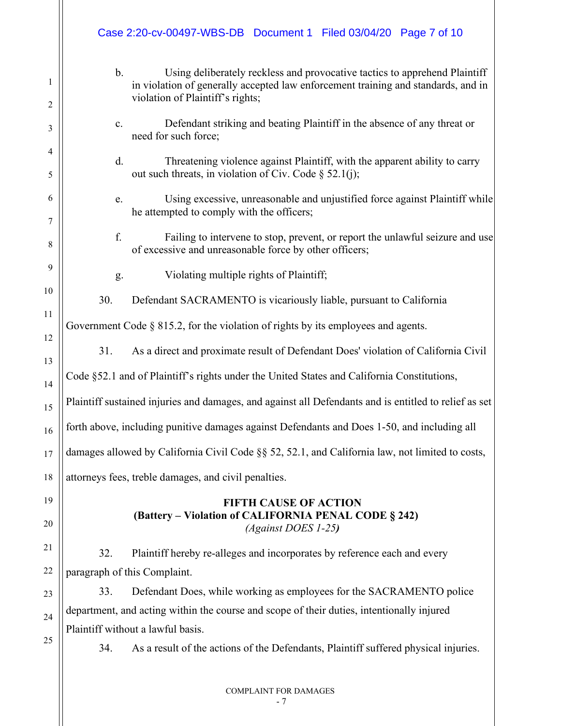|          | Case 2:20-cv-00497-WBS-DB Document 1 Filed 03/04/20 Page 7 of 10                                                                                                                                             |  |  |
|----------|--------------------------------------------------------------------------------------------------------------------------------------------------------------------------------------------------------------|--|--|
| 1<br>2   | $b$ .<br>Using deliberately reckless and provocative tactics to apprehend Plaintiff<br>in violation of generally accepted law enforcement training and standards, and in<br>violation of Plaintiff's rights; |  |  |
| 3        | Defendant striking and beating Plaintiff in the absence of any threat or<br>c.<br>need for such force;                                                                                                       |  |  |
| 4<br>5   | d.<br>Threatening violence against Plaintiff, with the apparent ability to carry<br>out such threats, in violation of Civ. Code $\S$ 52.1(j);                                                                |  |  |
| 6<br>7   | Using excessive, unreasonable and unjustified force against Plaintiff while<br>e.<br>he attempted to comply with the officers;                                                                               |  |  |
| 8        | f.<br>Failing to intervene to stop, prevent, or report the unlawful seizure and use<br>of excessive and unreasonable force by other officers;                                                                |  |  |
| 9        | Violating multiple rights of Plaintiff;<br>g.                                                                                                                                                                |  |  |
| 10       | 30.<br>Defendant SACRAMENTO is vicariously liable, pursuant to California                                                                                                                                    |  |  |
| 11       | Government Code $\S$ 815.2, for the violation of rights by its employees and agents.                                                                                                                         |  |  |
| 12       | 31.<br>As a direct and proximate result of Defendant Does' violation of California Civil                                                                                                                     |  |  |
| 13<br>14 | Code §52.1 and of Plaintiff's rights under the United States and California Constitutions,                                                                                                                   |  |  |
| 15       | Plaintiff sustained injuries and damages, and against all Defendants and is entitled to relief as set                                                                                                        |  |  |
| 16       | forth above, including punitive damages against Defendants and Does 1-50, and including all                                                                                                                  |  |  |
| 17       | damages allowed by California Civil Code §§ 52, 52.1, and California law, not limited to costs,                                                                                                              |  |  |
| 18       | attorneys fees, treble damages, and civil penalties.                                                                                                                                                         |  |  |
| 19       | <b>FIFTH CAUSE OF ACTION</b>                                                                                                                                                                                 |  |  |
| 20       | (Battery - Violation of CALIFORNIA PENAL CODE § 242)<br>(Against DOES 1-25)                                                                                                                                  |  |  |
| 21       | Plaintiff hereby re-alleges and incorporates by reference each and every<br>32.                                                                                                                              |  |  |
| 22       | paragraph of this Complaint.                                                                                                                                                                                 |  |  |
| 23       | Defendant Does, while working as employees for the SACRAMENTO police<br>33.                                                                                                                                  |  |  |
| 24       | department, and acting within the course and scope of their duties, intentionally injured                                                                                                                    |  |  |
|          | Plaintiff without a lawful basis.                                                                                                                                                                            |  |  |
| 25       | As a result of the actions of the Defendants, Plaintiff suffered physical injuries.<br>34.                                                                                                                   |  |  |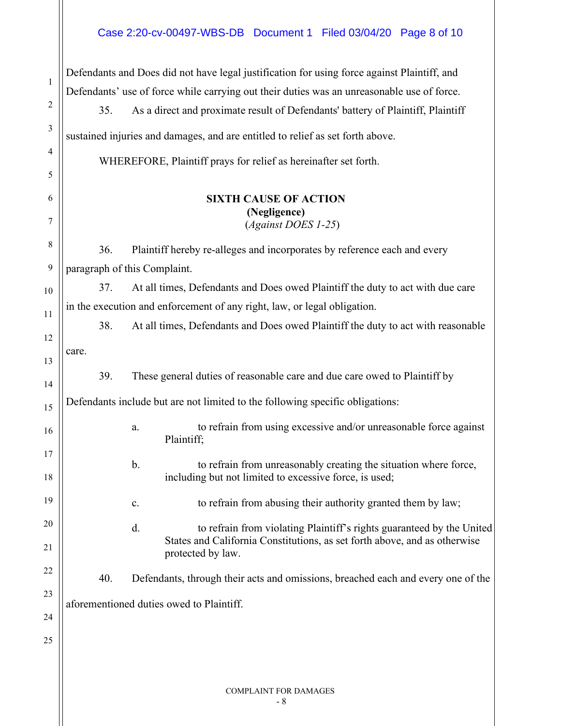# Case 2:20-cv-00497-WBS-DB Document 1 Filed 03/04/20 Page 8 of 10

| 1  | Defendants and Does did not have legal justification for using force against Plaintiff, and |                                                                                                |  |
|----|---------------------------------------------------------------------------------------------|------------------------------------------------------------------------------------------------|--|
|    |                                                                                             | Defendants' use of force while carrying out their duties was an unreasonable use of force.     |  |
| 2  | 35.                                                                                         | As a direct and proximate result of Defendants' battery of Plaintiff, Plaintiff                |  |
| 3  |                                                                                             | sustained injuries and damages, and are entitled to relief as set forth above.                 |  |
| 4  |                                                                                             | WHEREFORE, Plaintiff prays for relief as hereinafter set forth.                                |  |
| 5  |                                                                                             |                                                                                                |  |
| 6  |                                                                                             | <b>SIXTH CAUSE OF ACTION</b>                                                                   |  |
| 7  |                                                                                             | (Negligence)<br>(Against DOES 1-25)                                                            |  |
| 8  | 36.                                                                                         | Plaintiff hereby re-alleges and incorporates by reference each and every                       |  |
| 9  |                                                                                             | paragraph of this Complaint.                                                                   |  |
| 10 | 37.                                                                                         | At all times, Defendants and Does owed Plaintiff the duty to act with due care                 |  |
| 11 |                                                                                             | in the execution and enforcement of any right, law, or legal obligation.                       |  |
| 12 | 38.                                                                                         | At all times, Defendants and Does owed Plaintiff the duty to act with reasonable               |  |
| 13 | care.                                                                                       |                                                                                                |  |
| 14 | 39.                                                                                         | These general duties of reasonable care and due care owed to Plaintiff by                      |  |
| 15 |                                                                                             | Defendants include but are not limited to the following specific obligations:                  |  |
| 16 |                                                                                             | to refrain from using excessive and/or unreasonable force against<br>a.<br>Plaintiff;          |  |
| 17 |                                                                                             | to refrain from unreasonably creating the situation where force.<br>b.                         |  |
| 18 |                                                                                             | including but not limited to excessive force, is used;                                         |  |
| 19 |                                                                                             | to refrain from abusing their authority granted them by law;<br>$\mathbf{c}.$                  |  |
| 20 |                                                                                             | d.<br>to refrain from violating Plaintiff's rights guaranteed by the United                    |  |
| 21 |                                                                                             | States and California Constitutions, as set forth above, and as otherwise<br>protected by law. |  |
| 22 | 40.                                                                                         | Defendants, through their acts and omissions, breached each and every one of the               |  |
| 23 |                                                                                             |                                                                                                |  |
| 24 |                                                                                             | aforementioned duties owed to Plaintiff.                                                       |  |
| 25 |                                                                                             |                                                                                                |  |
|    |                                                                                             |                                                                                                |  |
|    |                                                                                             |                                                                                                |  |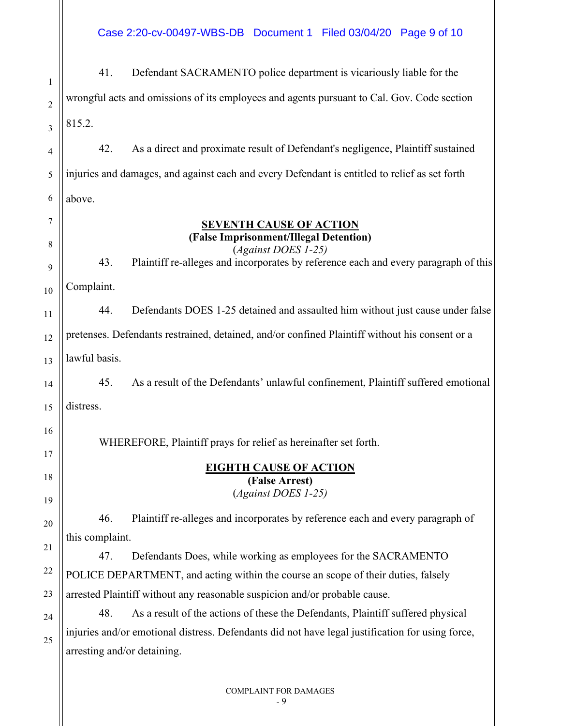Case 2:20-cv-00497-WBS-DB Document 1 Filed 03/04/20 Page 9 of 10

1 2 3 4 5 6 7 8 9 10 11 12 13 14 15 16 17 18 19 20 21 22 23 24 25 41. Defendant SACRAMENTO police department is vicariously liable for the wrongful acts and omissions of its employees and agents pursuant to Cal. Gov. Code section 815.2. 42. As a direct and proximate result of Defendant's negligence, Plaintiff sustained injuries and damages, and against each and every Defendant is entitled to relief as set forth above. **SEVENTH CAUSE OF ACTION (False Imprisonment/Illegal Detention)** (*Against DOES 1-25)* 43. Plaintiff re-alleges and incorporates by reference each and every paragraph of this Complaint. 44. Defendants DOES 1-25 detained and assaulted him without just cause under false pretenses. Defendants restrained, detained, and/or confined Plaintiff without his consent or a lawful basis. 45. As a result of the Defendants' unlawful confinement, Plaintiff suffered emotional distress. WHEREFORE, Plaintiff prays for relief as hereinafter set forth. **EIGHTH CAUSE OF ACTION (False Arrest)** (*Against DOES 1-25)* 46. Plaintiff re-alleges and incorporates by reference each and every paragraph of this complaint. 47. Defendants Does, while working as employees for the SACRAMENTO POLICE DEPARTMENT, and acting within the course an scope of their duties, falsely arrested Plaintiff without any reasonable suspicion and/or probable cause. 48. As a result of the actions of these the Defendants, Plaintiff suffered physical injuries and/or emotional distress. Defendants did not have legal justification for using force, arresting and/or detaining.